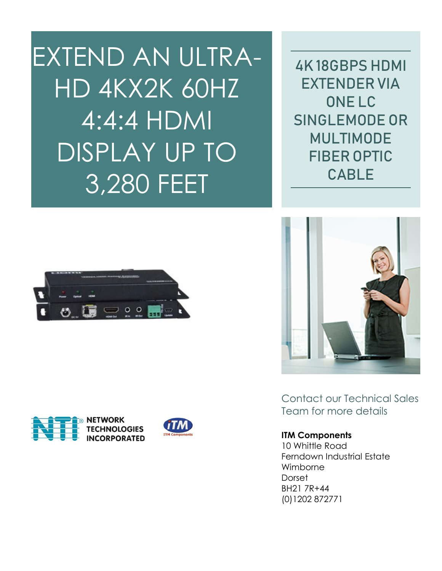EXTEND AN ULTRA-HD 4KX2K 60HZ 4:4:4 HDMI DISPLAY UP TO 3,280 FEET

4K 18GBPS HDMI EXTENDER VIA ONE LC SINGLEMODE OR MULTIMODE FIBER OPTIC CABLE





Contact our Technical Sales Team for more details

## **ITM Components**

10 Whittle Road Ferndown Industrial Estate Wimborne Dorset BH21 7R+44 (0)1202 872771